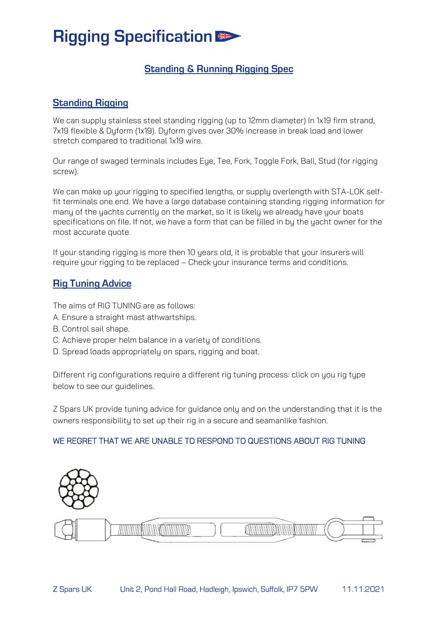## **Rigging Specification**

### **Standing & Running Rigging Spec**

#### **Standing Rigging**

We can supply stainless steel standing rigging (up to 12mm diameter) In 1x19 firm strand, 7x19 flexible & Dyform (1x19). Dyform gives over 30% increase in break load and lower stretch compared to traditional 1x19 wire.

Our range of swaged terminals includes Eye, Tee, Fork, Toggle Fork, Ball, Stud (for rigging screw).

We can make up your rigging to specified lengths, or supply overlength with STA-LOK selffit terminals one end. We have a large database containing standing rigging information for many of the yachts currently on the market, so it is likely we already have your boats specifications on file. If not, we have a form that can be filled in by the yacht owner for the most accurate quote.

If your standing rigging is more then 10 years old, it is probable that your insurers will require your rigging to be replaced – Check your insurance terms and conditions.

#### **Rig Tuning Advice**

The aims of RIG TUNING are as follows:

- A. Ensure a straight mast athwartships.
- B. Control sail shape.
- C. Achieve proper helm balance in a variety of conditions.
- D. Spread loads appropriately on spars, rigging and boat.

Different rig configurations require a different rig tuning process: click on you rig type below to see our guidelines.

Z Spars UK provide tuning advice for guidance only and on the understanding that it is the owners responsibility to set up their rig in a secure and seamanlike fashion.

#### WE REGRET THAT WE ARE UNABLE TO RESPOND TO QUESTIONS ABOUT RIG TUNING